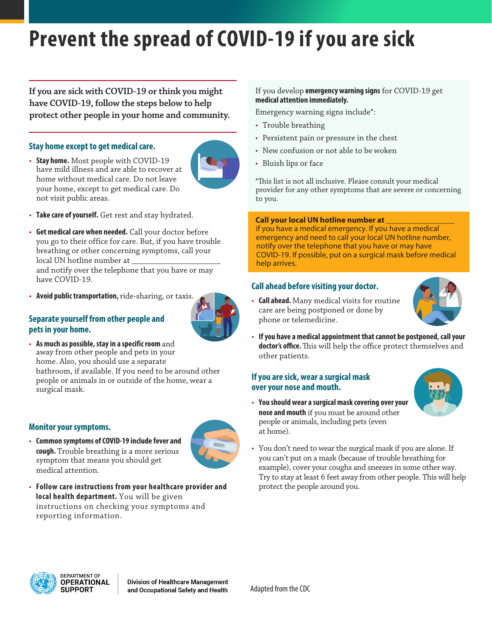# **Prevent the spread of COVID-19 if you are sick**

**If you are sick with COVID-19 or think you might have COVID-19, follow the steps below to help protect other people in your home and community.**

## **Stay home except to get medical care.**

• **Stay home.** Most people with COVID-19 have mild illness and are able to recover at home without medical care. Do not leave your home, except to get medical care. Do not visit public areas.



- **Take care of yourself.** Get rest and stay hydrated.
- **Get medical care when needed.** Call your doctor before you go to their office for care. But, if you have trouble breathing or other concerning symptoms, call your local UN hotline number at

and notify over the telephone that you have or may have COVID-19.

• **Avoid public transportation,** ride-sharing, or taxis.



## **Separate yourself from other people and pets in your home.**

• **As much as possible, stay in a specific room** and away from other people and pets in your home. Also, you should use a separate bathroom, if available. If you need to be around other people or animals in or outside of the home, wear a surgical mask.

#### **Monitor your symptoms.**

• **Common symptoms of COVID-19 include fever and cough.** Trouble breathing is a more serious symptom that means you should get medical attention.



• **Follow care instructions from your healthcare provider and local health department.** You will be given instructions on checking your symptoms and reporting information.

#### If you develop **emergency warning signs** for COVID-19 get **medical attention immediately.**

Emergency warning signs include\*:

- Trouble breathing
- Persistent pain or pressure in the chest
- New confusion or not able to be woken
- Bluish lips or face

\*This list is not all inclusive. Please consult your medical provider for any other symptoms that are severe or concerning to you.

#### **Call your local UN hotline number at** \_\_\_\_\_\_\_\_\_\_\_\_\_\_\_\_\_

if you have a medical emergency. If you have a medical emergency and need to call your local UN hotline number, notify over the telephone that you have or may have COVID-19. If possible, put on a surgical mask before medical help arrives.

#### **Call ahead before visiting your doctor.**



- **Call ahead.** Many medical visits for routine care are being postponed or done by phone or telemedicine.
- **If you have a medical appointment that cannot be postponed, call your doctor's office.** This will help the office protect themselves and other patients.

#### **If you are sick, wear a surgical mask over your nose and mouth.**

• **You should wear a surgicalmask covering over your nose and mouth** if you must be around other people or animals, including pets (even at home).



• You don't need to wear the surgical mask if you are alone. If you can't put on a mask (because of trouble breathing for example), cover your coughs and sneezes in some other way. Try to stay at least 6 feet away from other people. This will help protect the people around you.